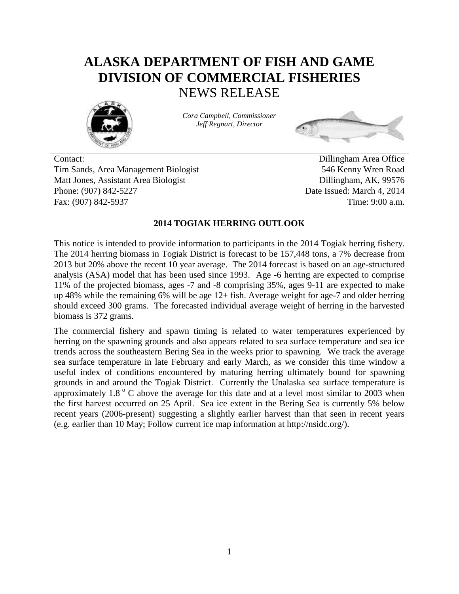# **ALASKA DEPARTMENT OF FISH AND GAME DIVISION OF COMMERCIAL FISHERIES** NEWS RELEASE



*Cora Campbell, Commissioner Jeff Regnart, Director*



Contact: Dillingham Area Office Tim Sands, Area Management Biologist 546 Kenny Wren Road Matt Jones, Assistant Area Biologist Dillingham, AK, 99576 Phone: (907) 842-5227 Date Issued: March 4, 2014 Fax: (907) 842-5937 Time: 9:00 a.m.

#### **2014 TOGIAK HERRING OUTLOOK**

This notice is intended to provide information to participants in the 2014 Togiak herring fishery. The 2014 herring biomass in Togiak District is forecast to be 157,448 tons, a 7% decrease from 2013 but 20% above the recent 10 year average. The 2014 forecast is based on an age-structured analysis (ASA) model that has been used since 1993. Age -6 herring are expected to comprise 11% of the projected biomass, ages -7 and -8 comprising 35%, ages 9-11 are expected to make up 48% while the remaining 6% will be age 12+ fish. Average weight for age-7 and older herring should exceed 300 grams. The forecasted individual average weight of herring in the harvested biomass is 372 grams.

The commercial fishery and spawn timing is related to water temperatures experienced by herring on the spawning grounds and also appears related to sea surface temperature and sea ice trends across the southeastern Bering Sea in the weeks prior to spawning. We track the average sea surface temperature in late February and early March, as we consider this time window a useful index of conditions encountered by maturing herring ultimately bound for spawning grounds in and around the Togiak District. Currently the Unalaska sea surface temperature is approximately  $1.8\degree$  C above the average for this date and at a level most similar to 2003 when the first harvest occurred on 25 April. Sea ice extent in the Bering Sea is currently 5% below recent years (2006-present) suggesting a slightly earlier harvest than that seen in recent years (e.g. earlier than 10 May; Follow current ice map information at http://nsidc.org/).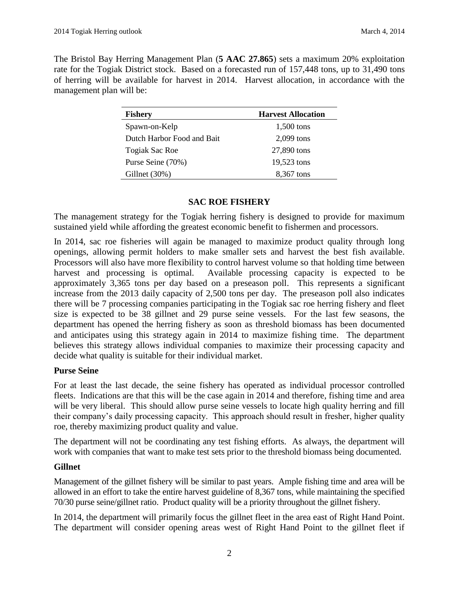The Bristol Bay Herring Management Plan (**5 AAC 27.865**) sets a maximum 20% exploitation rate for the Togiak District stock. Based on a forecasted run of 157,448 tons, up to 31,490 tons of herring will be available for harvest in 2014. Harvest allocation, in accordance with the management plan will be:

| <b>Fishery</b>             | <b>Harvest Allocation</b> |
|----------------------------|---------------------------|
| Spawn-on-Kelp              | 1,500 tons                |
| Dutch Harbor Food and Bait | 2,099 tons                |
| <b>Togiak Sac Roe</b>      | 27,890 tons               |
| Purse Seine (70%)          | 19,523 tons               |
| Gillnet $(30\%)$           | 8,367 tons                |

#### **SAC ROE FISHERY**

The management strategy for the Togiak herring fishery is designed to provide for maximum sustained yield while affording the greatest economic benefit to fishermen and processors.

In 2014, sac roe fisheries will again be managed to maximize product quality through long openings, allowing permit holders to make smaller sets and harvest the best fish available. Processors will also have more flexibility to control harvest volume so that holding time between harvest and processing is optimal. Available processing capacity is expected to be approximately 3,365 tons per day based on a preseason poll. This represents a significant increase from the 2013 daily capacity of 2,500 tons per day. The preseason poll also indicates there will be 7 processing companies participating in the Togiak sac roe herring fishery and fleet size is expected to be 38 gillnet and 29 purse seine vessels. For the last few seasons, the department has opened the herring fishery as soon as threshold biomass has been documented and anticipates using this strategy again in 2014 to maximize fishing time. The department believes this strategy allows individual companies to maximize their processing capacity and decide what quality is suitable for their individual market.

## **Purse Seine**

For at least the last decade, the seine fishery has operated as individual processor controlled fleets. Indications are that this will be the case again in 2014 and therefore, fishing time and area will be very liberal. This should allow purse seine vessels to locate high quality herring and fill their company's daily processing capacity. This approach should result in fresher, higher quality roe, thereby maximizing product quality and value.

The department will not be coordinating any test fishing efforts. As always, the department will work with companies that want to make test sets prior to the threshold biomass being documented.

## **Gillnet**

Management of the gillnet fishery will be similar to past years. Ample fishing time and area will be allowed in an effort to take the entire harvest guideline of 8,367 tons, while maintaining the specified 70/30 purse seine/gillnet ratio. Product quality will be a priority throughout the gillnet fishery.

In 2014, the department will primarily focus the gillnet fleet in the area east of Right Hand Point. The department will consider opening areas west of Right Hand Point to the gillnet fleet if